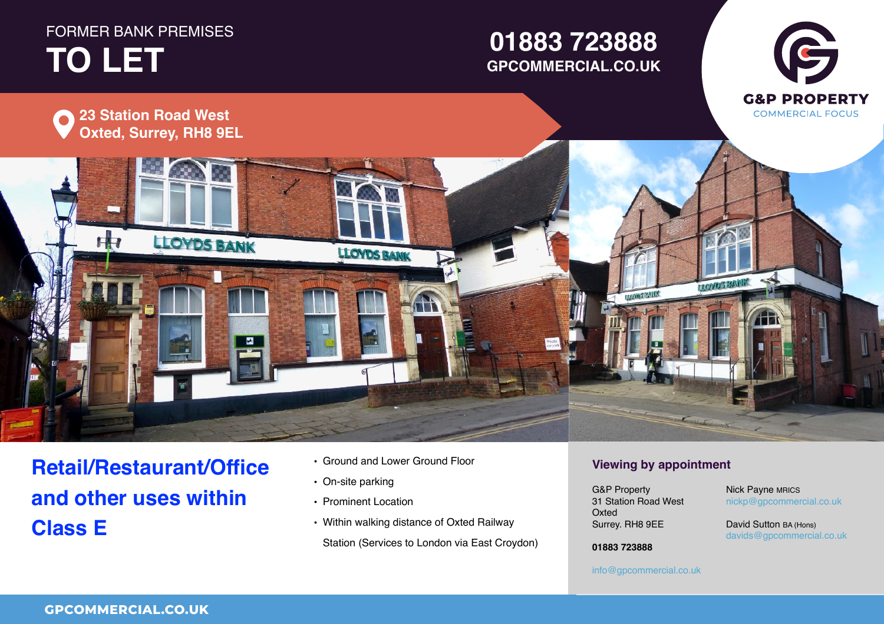# **FORMER BANK PREMISES TO LET TO LET**

# **01234 567 890 GPCOMMERCIAL.CO.UK01883 723888**





**Retail/Restaurant/Office and other uses within Class E**

- Ground and Lower Ground Floor
- On-site parking
- Prominent Location
- Within walking distance of Oxted Railway Station (Services to London via East Croydon)

## **Viewing by appointment**

Surrey. RH8 9EE  $\ldots$ **Viewing by appointment** G&P Property 31 Station Road West G&P PropertyOxted **Director** G&P Property

#### $\mathsf{nickp}@\mathsf{g} \mathsf{p} \mathsf{commercial.co.uk}$ Nick Payne MRICS

**Figure 1 David Sutton BA (Hons)**<br>Sultant 1 Email 2008  $\frac{1}{2}$ davids@gpcommercial.co.uk<br>.

Town **01234 567 890 01883 723888** County, Postcode

### **01234 567 890** info@gpcommercial.co.uk info@gpcommercial.co.uk

info@gpcommercial.co.uk